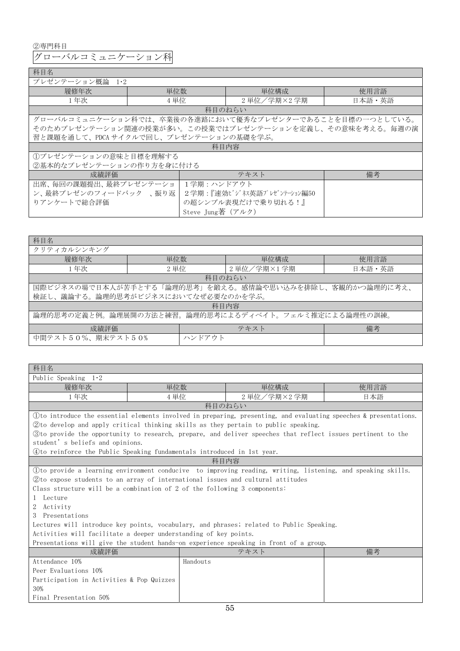②専門科目

グローバルコミュニケーション科

## 科目名

| .                                                    |                   |                                                         |        |  |  |  |
|------------------------------------------------------|-------------------|---------------------------------------------------------|--------|--|--|--|
| プレゼンテーション概論<br>$1 \cdot 2$                           |                   |                                                         |        |  |  |  |
| 履修年次                                                 | 単位数               | 単位構成                                                    | 使用言語   |  |  |  |
| 1年次                                                  | 4 単位              | 2 単位/学期×2 学期                                            | 日本語・英語 |  |  |  |
|                                                      |                   | 科目のねらい                                                  |        |  |  |  |
|                                                      |                   | グローバルコミュニケーション科では、卒業後の各進路において優秀なプレゼンターであることを目標の一つとしている。 |        |  |  |  |
|                                                      |                   | そのためプレゼンテーション関連の授業が多い。この授業ではプレゼンテーションを定義し、その意味を考える。毎週の演 |        |  |  |  |
| 習と課題を通して、PDCA サイクルで回し、プレゼンテーションの基礎を学ぶ。               |                   |                                                         |        |  |  |  |
|                                                      |                   | 科目内容                                                    |        |  |  |  |
| ①プレゼンテーションの意味と目標を理解する                                |                   |                                                         |        |  |  |  |
| ②基本的なプレゼンテーションの作り方を身に付ける                             |                   |                                                         |        |  |  |  |
| 成績評価                                                 |                   | テキスト                                                    | 備考     |  |  |  |
| 出席、毎回の課題提出、最終プレゼンテーショ<br>1学期:ハンドアウト                  |                   |                                                         |        |  |  |  |
| ン、最終プレゼンのフィードバック 、振り返<br>2学期 : 『速効ビジネス英語プレゼンテーション編50 |                   |                                                         |        |  |  |  |
| りアンケートで総合評価                                          |                   | の超シンプル表現だけで乗り切れる!』                                      |        |  |  |  |
|                                                      | Steve Jung著 (アルク) |                                                         |        |  |  |  |

٦

| 科目名                                                  |        |                                                         |        |  |  |
|------------------------------------------------------|--------|---------------------------------------------------------|--------|--|--|
| クリティカルシンキング                                          |        |                                                         |        |  |  |
| 履修年次                                                 | 単位数    | 単位構成                                                    | 使用言語   |  |  |
| 1年次                                                  | 2 単位   | 2 単位/学期×1 学期                                            | 日本語・英語 |  |  |
|                                                      |        | 科目のねらい                                                  |        |  |  |
|                                                      |        | 国際ビジネスの場で日本人が苦手とする「論理的思考」を鍛える。感情論や思い込みを排除し、客観的かつ論理的に考え、 |        |  |  |
| 検証し、議論する。論理的思考がビジネスにおいてなぜ必要なのかを学ぶ。                   |        |                                                         |        |  |  |
| 科目内容                                                 |        |                                                         |        |  |  |
| 論理的思考の定義と例。論理展開の方法と練習。論理的思考によるディベイト。フェルミ推定による論理性の訓練。 |        |                                                         |        |  |  |
| 成績評価                                                 |        | テキスト                                                    | 備考     |  |  |
| 中間テスト50%、期末テスト50%                                    | ハンドアウト |                                                         |        |  |  |

| 科目名                                                                              |                                           |                                                                                                                  |      |  |  |  |
|----------------------------------------------------------------------------------|-------------------------------------------|------------------------------------------------------------------------------------------------------------------|------|--|--|--|
| Public Speaking $1.2$                                                            |                                           |                                                                                                                  |      |  |  |  |
| 履修年次                                                                             | 単位数                                       | 単位構成                                                                                                             | 使用言語 |  |  |  |
| 1年次                                                                              | 4 単位                                      | 2 単位/学期×2 学期                                                                                                     | 日本語  |  |  |  |
|                                                                                  |                                           | 科目のねらい                                                                                                           |      |  |  |  |
|                                                                                  |                                           | Oto introduce the essential elements involved in preparing, presenting, and evaluating speeches & presentations. |      |  |  |  |
|                                                                                  |                                           | 2) to develop and apply critical thinking skills as they pertain to public speaking.                             |      |  |  |  |
|                                                                                  |                                           | 3to provide the opportunity to research, prepare, and deliver speeches that reflect issues pertinent to the      |      |  |  |  |
| student's beliefs and opinions.                                                  |                                           |                                                                                                                  |      |  |  |  |
| (4) to reinforce the Public Speaking fundamentals introduced in 1st year.        |                                           |                                                                                                                  |      |  |  |  |
|                                                                                  |                                           | 科目内容                                                                                                             |      |  |  |  |
|                                                                                  |                                           | (1) to provide a learning environment conducive to improving reading, writing, listening, and speaking skills.   |      |  |  |  |
| 2) to expose students to an array of international issues and cultural attitudes |                                           |                                                                                                                  |      |  |  |  |
| Class structure will be a combination of 2 of the following 3 components:        |                                           |                                                                                                                  |      |  |  |  |
| Lecture<br>$\mathbf{1}$                                                          |                                           |                                                                                                                  |      |  |  |  |
| 2<br>Activity                                                                    |                                           |                                                                                                                  |      |  |  |  |
| 3 Presentations                                                                  |                                           |                                                                                                                  |      |  |  |  |
|                                                                                  |                                           | Lectures will introduce key points, vocabulary, and phrases; related to Public Speaking.                         |      |  |  |  |
| Activities will facilitate a deeper understanding of key points.                 |                                           |                                                                                                                  |      |  |  |  |
|                                                                                  |                                           | Presentations will give the student hands-on experience speaking in front of a group.                            |      |  |  |  |
| 成績評価                                                                             |                                           | テキスト                                                                                                             | 備考   |  |  |  |
| Attendance 10%                                                                   | Handouts                                  |                                                                                                                  |      |  |  |  |
| Peer Evaluations 10%                                                             |                                           |                                                                                                                  |      |  |  |  |
|                                                                                  | Participation in Activities & Pop Quizzes |                                                                                                                  |      |  |  |  |
| 30%                                                                              |                                           |                                                                                                                  |      |  |  |  |
| Final Presentation 50%                                                           |                                           |                                                                                                                  |      |  |  |  |
|                                                                                  |                                           | 55                                                                                                               |      |  |  |  |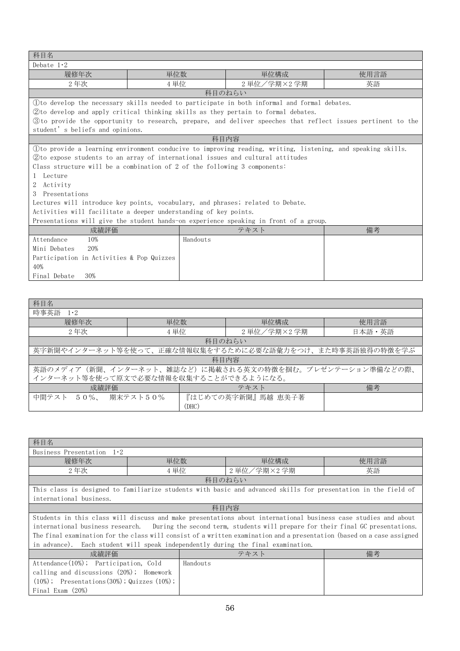| 科目名                                                                                   |          |                                                                                                              |      |  |
|---------------------------------------------------------------------------------------|----------|--------------------------------------------------------------------------------------------------------------|------|--|
| Debate $1.2$                                                                          |          |                                                                                                              |      |  |
| 履修年次                                                                                  | 単位数      | 単位構成                                                                                                         | 使用言語 |  |
| 2年次                                                                                   | 4 単位     | 2 単位/学期×2 学期                                                                                                 | 英語   |  |
|                                                                                       |          | 科目のねらい                                                                                                       |      |  |
|                                                                                       |          | (1) to develop the necessary skills needed to participate in both informal and formal debates.               |      |  |
|                                                                                       |          | (2) to develop and apply critical thinking skills as they pertain to formal debates.                         |      |  |
|                                                                                       |          | 3 to provide the opportunity to research, prepare, and deliver speeches that reflect issues pertinent to the |      |  |
| student's beliefs and opinions.                                                       |          |                                                                                                              |      |  |
|                                                                                       |          | 科目内容                                                                                                         |      |  |
|                                                                                       |          | Oto provide a learning environment conducive to improving reading, writing, listening, and speaking skills.  |      |  |
|                                                                                       |          | (2) to expose students to an array of international issues and cultural attitudes                            |      |  |
| Class structure will be a combination of 2 of the following 3 components:             |          |                                                                                                              |      |  |
| Lecture                                                                               |          |                                                                                                              |      |  |
| Activity                                                                              |          |                                                                                                              |      |  |
| 3 Presentations                                                                       |          |                                                                                                              |      |  |
|                                                                                       |          | Lectures will introduce key points, vocabulary, and phrases; related to Debate.                              |      |  |
| Activities will facilitate a deeper understanding of key points.                      |          |                                                                                                              |      |  |
| Presentations will give the student hands-on experience speaking in front of a group. |          |                                                                                                              |      |  |
| 成績評価                                                                                  |          | テキスト                                                                                                         | 備考   |  |
| Attendance<br>10%                                                                     | Handouts |                                                                                                              |      |  |
| Mini Debates<br>20%                                                                   |          |                                                                                                              |      |  |
| Participation in Activities & Pop Quizzes                                             |          |                                                                                                              |      |  |
| 40%                                                                                   |          |                                                                                                              |      |  |
| Final Debate<br>30%                                                                   |          |                                                                                                              |      |  |

| 科目名                                                     |       |                                                         |        |  |  |
|---------------------------------------------------------|-------|---------------------------------------------------------|--------|--|--|
| 時事英語<br>$1 \cdot 2$                                     |       |                                                         |        |  |  |
| 履修年次                                                    | 単位数   | 単位構成                                                    | 使用言語   |  |  |
| 2年次                                                     | 4 単位  | 2 単位/学期×2 学期                                            | 日本語・英語 |  |  |
|                                                         |       | 科目のねらい                                                  |        |  |  |
|                                                         |       | 英字新聞やインターネット等を使って、正確な情報収集をするために必要な語彙力をつけ、また時事英語独得の特徴を学ぶ |        |  |  |
| 科目内容                                                    |       |                                                         |        |  |  |
| 英語のメディア(新聞、インターネット、雑誌など)に掲載される英文の特徴を掴む。プレゼンテーション準備などの際、 |       |                                                         |        |  |  |
| インターネット等を使って原文で必要な情報を収集することができるようになる。                   |       |                                                         |        |  |  |
| 備考<br>成績評価<br>テキスト                                      |       |                                                         |        |  |  |
| 中間テスト 50%、 期末テスト50%                                     |       | 『はじめての英字新聞』 馬越 恵美子著                                     |        |  |  |
|                                                         | (DHC) |                                                         |        |  |  |

| 科目名                                                                              |      |        |                                                                                                                        |      |  |
|----------------------------------------------------------------------------------|------|--------|------------------------------------------------------------------------------------------------------------------------|------|--|
| Business Presentation $1.2$                                                      |      |        |                                                                                                                        |      |  |
| 履修年次                                                                             | 単位数  |        | 単位構成                                                                                                                   | 使用言語 |  |
| 2年次                                                                              | 4 単位 |        | 2 単位/学期×2 学期                                                                                                           | 英語   |  |
|                                                                                  |      | 科目のねらい |                                                                                                                        |      |  |
|                                                                                  |      |        | This class is designed to familiarize students with basic and advanced skills for presentation in the field of         |      |  |
| international business.                                                          |      |        |                                                                                                                        |      |  |
|                                                                                  |      | 科目内容   |                                                                                                                        |      |  |
|                                                                                  |      |        | Students in this class will discuss and make presentations about international business case studies and about         |      |  |
|                                                                                  |      |        | international business research. During the second term, students will prepare for their final GC presentations.       |      |  |
|                                                                                  |      |        | The final examination for the class will consist of a written examination and a presentation (based on a case assigned |      |  |
| in advance). Each student will speak independently during the final examination. |      |        |                                                                                                                        |      |  |
| 備考<br>成績評価<br>テキスト                                                               |      |        |                                                                                                                        |      |  |
| Attendance (10%); Participation, Cold<br>Handouts                                |      |        |                                                                                                                        |      |  |
| calling and discussions (20%); Homework                                          |      |        |                                                                                                                        |      |  |
| $(10\%)$ ; Presentations $(30\%)$ ; Quizzes $(10\%)$ ;                           |      |        |                                                                                                                        |      |  |
| Final Exam (20%)                                                                 |      |        |                                                                                                                        |      |  |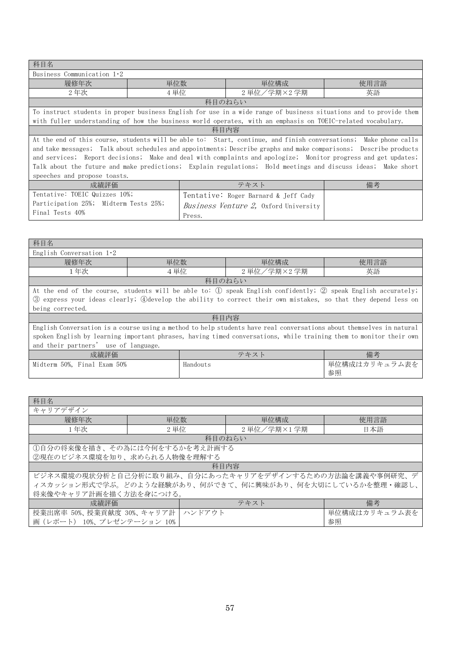| 科目名                                   |                                                                                                              |                                                                                                                    |      |  |  |  |
|---------------------------------------|--------------------------------------------------------------------------------------------------------------|--------------------------------------------------------------------------------------------------------------------|------|--|--|--|
| Business Communication $1.2$          |                                                                                                              |                                                                                                                    |      |  |  |  |
| 履修年次                                  | 単位数                                                                                                          | 単位構成                                                                                                               | 使用言語 |  |  |  |
| 2年次                                   | 4 単位                                                                                                         | 2 単位/学期×2 学期                                                                                                       | 英語   |  |  |  |
|                                       | 科目のねらい                                                                                                       |                                                                                                                    |      |  |  |  |
|                                       |                                                                                                              | To instruct students in proper business English for use in a wide range of business situations and to provide them |      |  |  |  |
|                                       |                                                                                                              | with fuller understanding of how the business world operates, with an emphasis on TOEIC-related vocabulary.        |      |  |  |  |
|                                       | 科目内容                                                                                                         |                                                                                                                    |      |  |  |  |
|                                       |                                                                                                              | At the end of this course, students will be able to: Start, continue, and finish conversations; Make phone calls   |      |  |  |  |
|                                       |                                                                                                              | and take messages; Talk about schedules and appointments; Describe graphs and make comparisons; Describe products  |      |  |  |  |
|                                       |                                                                                                              | and services; Report decisions; Make and deal with complaints and apologize; Monitor progress and get updates;     |      |  |  |  |
|                                       | Talk about the future and make predictions; Explain regulations; Hold meetings and discuss ideas; Make short |                                                                                                                    |      |  |  |  |
| speeches and propose toasts.          |                                                                                                              |                                                                                                                    |      |  |  |  |
| 成績評価                                  |                                                                                                              | テキスト                                                                                                               | 備考   |  |  |  |
| Tentative: TOEIC Quizzes 10%;         |                                                                                                              | Tentative: Roger Barnard & Jeff Cady                                                                               |      |  |  |  |
| Participation 25%; Midterm Tests 25%; |                                                                                                              | <i>Business Venture 2,</i> Oxford University                                                                       |      |  |  |  |
| Final Tests 40%                       | Press.                                                                                                       |                                                                                                                    |      |  |  |  |

| 科目名                                                                                                                  |          |                                                                                                                    |                     |  |  |
|----------------------------------------------------------------------------------------------------------------------|----------|--------------------------------------------------------------------------------------------------------------------|---------------------|--|--|
| English Conversation $1.2$                                                                                           |          |                                                                                                                    |                     |  |  |
| 履修年次                                                                                                                 | 単位数      | 単位構成                                                                                                               | 使用言語                |  |  |
| 1年次                                                                                                                  | 4単位      | 2 単位/学期×2 学期                                                                                                       | 英語                  |  |  |
|                                                                                                                      |          | 科目のねらい                                                                                                             |                     |  |  |
|                                                                                                                      |          | At the end of the course, students will be able to: ① speak English confidently; ② speak English accurately;       |                     |  |  |
|                                                                                                                      |          | 3 express your ideas clearly; 4 develop the ability to correct their own mistakes, so that they depend less on     |                     |  |  |
| being corrected.                                                                                                     |          |                                                                                                                    |                     |  |  |
| 科目内容                                                                                                                 |          |                                                                                                                    |                     |  |  |
| English Conversation is a course using a method to help students have real conversations about themselves in natural |          |                                                                                                                    |                     |  |  |
|                                                                                                                      |          | spoken English by learning important phrases, having timed conversations, while training them to monitor their own |                     |  |  |
| and their partners' use of language.                                                                                 |          |                                                                                                                    |                     |  |  |
| 成績評価                                                                                                                 |          | テキスト                                                                                                               | 備考                  |  |  |
| Midterm 50%, Final Exam 50%                                                                                          | Handouts |                                                                                                                    | 単位構成はカリキュラム表を<br>参照 |  |  |

| 科目名                         |                                                          |              |               |  |  |  |
|-----------------------------|----------------------------------------------------------|--------------|---------------|--|--|--|
| キャリアデザイン                    |                                                          |              |               |  |  |  |
| 履修年次                        | 単位数                                                      | 単位構成         | 使用言語          |  |  |  |
| 1年次                         | 2 単位                                                     | 2 単位/学期×1 学期 | 日本語           |  |  |  |
|                             |                                                          | 科目のねらい       |               |  |  |  |
|                             | ①自分の将来像を描き、その為には今何をするかを考え計画する                            |              |               |  |  |  |
| ②現在のビジネス環境を知り、求められる人物像を理解する |                                                          |              |               |  |  |  |
|                             | 科目内容                                                     |              |               |  |  |  |
|                             | ビジネス環境の現状分析と自己分析に取り組み、自分にあったキャリアをデザインするための方法論を講義や事例研究、デ  |              |               |  |  |  |
|                             | ィスカッション形式で学ぶ。どのような経験があり、何ができて、何に興味があり、何を大切にしているかを整理・確認し、 |              |               |  |  |  |
| 将来像やキャリア計画を描く方法を身につける。      |                                                          |              |               |  |  |  |
| 成績評価                        |                                                          | テキスト         | 備考            |  |  |  |
|                             | 授業出席率 50%、授業貢献度 30%、キャリア計 ハンドアウト                         |              | 単位構成はカリキュラム表を |  |  |  |
| 画 (レポート) 10%、プレゼンテーション 10%  |                                                          |              | 参照            |  |  |  |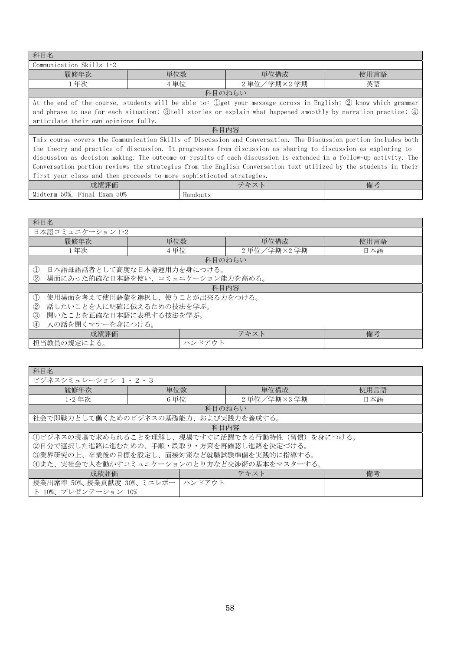| 科目名                                                                                                              |      |          |                                                                                                                   |      |  |
|------------------------------------------------------------------------------------------------------------------|------|----------|-------------------------------------------------------------------------------------------------------------------|------|--|
| Communication Skills $1.2$                                                                                       |      |          |                                                                                                                   |      |  |
| 履修年次                                                                                                             | 単位数  |          | 単位構成                                                                                                              | 使用言語 |  |
| 1年次                                                                                                              | 4 単位 |          | 2 単位/学期×2 学期                                                                                                      | 英語   |  |
|                                                                                                                  |      |          | 科目のねらい                                                                                                            |      |  |
|                                                                                                                  |      |          | At the end of the course, students will be able to: ①get your message across in English; ② know which grammar     |      |  |
|                                                                                                                  |      |          | and phrase to use for each situation; 3tell stories or explain what happened smoothly by narration practice; 4    |      |  |
| articulate their own opinions fully.                                                                             |      |          |                                                                                                                   |      |  |
| 科目内容                                                                                                             |      |          |                                                                                                                   |      |  |
| This course covers the Communication Skills of Discussion and Conversation. The Discussion portion includes both |      |          |                                                                                                                   |      |  |
| the theory and practice of discussion. It progresses from discussion as sharing to discussion as exploring to    |      |          |                                                                                                                   |      |  |
|                                                                                                                  |      |          | discussion as decision making. The outcome or results of each discussion is extended in a follow-up activity. The |      |  |
| Conversation portion reviews the strategies from the English Conversation text utilized by the students in their |      |          |                                                                                                                   |      |  |
| first year class and then proceeds to more sophisticated strategies.                                             |      |          |                                                                                                                   |      |  |
| 成績評価                                                                                                             |      |          | テキスト                                                                                                              | 備考   |  |
| Midterm 50%, Final Exam 50%                                                                                      |      | Handouts |                                                                                                                   |      |  |

| 科目名                                            |                                  |              |      |  |  |
|------------------------------------------------|----------------------------------|--------------|------|--|--|
| 日本語コミュニケーション 1·2                               |                                  |              |      |  |  |
| 履修年次                                           | 単位数                              | 単位構成         | 使用言語 |  |  |
| 1年次                                            | 4 単位                             | 2 単位/学期×2 学期 | 日本語  |  |  |
|                                                |                                  | 科目のねらい       |      |  |  |
| $\mathbb{O}$                                   | 日本語母語話者として高度な日本語運用力を身につける。       |              |      |  |  |
| (2)                                            | 場面にあった的確な日本語を使い、コミュニケーション能力を高める。 |              |      |  |  |
| 科目内容                                           |                                  |              |      |  |  |
| 使用場面を考えて使用語彙を選択し、使うことが出来る力をつける。<br>$\mathbb O$ |                                  |              |      |  |  |
| 話したいことを人に明確に伝えるための技法を学ぶ。<br>$^{\circledR}$     |                                  |              |      |  |  |
| ③<br>聞いたことを正確な日本語に表現する技法を学ぶ。                   |                                  |              |      |  |  |
| 人の話を聞くマナーを身につける。<br>(4)                        |                                  |              |      |  |  |
| 成績評価                                           | 備考<br>テキスト                       |              |      |  |  |
| 担当教員の規定による。<br>ハンドアウト                          |                                  |              |      |  |  |

| 科目名                                        |      |                                                 |      |  |  |
|--------------------------------------------|------|-------------------------------------------------|------|--|--|
| ビジネスシミュレーション 1・2・3                         |      |                                                 |      |  |  |
| 履修年次                                       | 単位数  | 単位構成                                            | 使用言語 |  |  |
| $1.2$ 年次                                   | 6 単位 | 2 単位/学期×3 学期                                    | 日本語  |  |  |
|                                            |      | 科目のねらい                                          |      |  |  |
| 社会で即戦力として働くためのビジネスの基礎能力、および実践力を養成する。       |      |                                                 |      |  |  |
|                                            |      | 科目内容                                            |      |  |  |
|                                            |      | 1ビジネスの現場で求められることを理解し、現場ですぐに活躍できる行動特性(習慣)を身につける。 |      |  |  |
| ②自分で選択した進路に進むための、手順・段取り・方策を再確認し進路を決定づける。   |      |                                                 |      |  |  |
| ③業界研究の上、卒業後の目標を設定し、面接対策など就職試験準備を実践的に指導する。  |      |                                                 |      |  |  |
| 4また、実社会で人を動かすコミュニケーションのとり方など交渉術の基本をマスターする。 |      |                                                 |      |  |  |
| 備考<br>成績評価<br>テキスト                         |      |                                                 |      |  |  |
| 授業出席率 50%、授業貢献度 30%、ミニレポー   ハンドアウト         |      |                                                 |      |  |  |
| ト 10%、プレゼンテーション 10%                        |      |                                                 |      |  |  |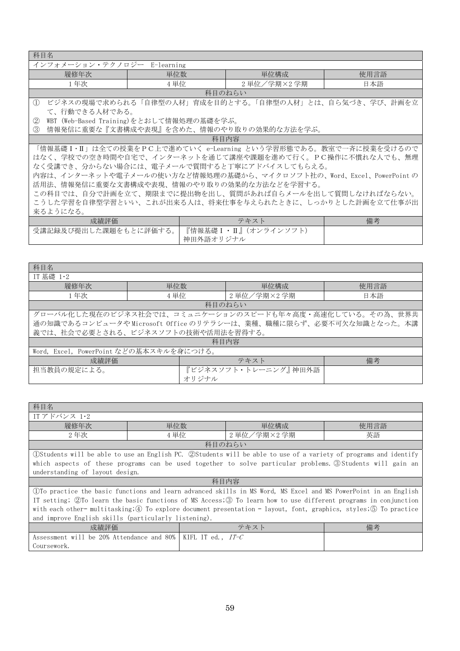科目名

| I 1 H H 1 H      |            |              |      |  |
|------------------|------------|--------------|------|--|
| インフォメーション・テクノロジー | E-learning |              |      |  |
| 履修年次             | 単位数        | 単位構成         | 使用言語 |  |
| 年次               | 単位         | 学期×2学期<br>単位 | `本語  |  |
| 科目のねらい           |            |              |      |  |

① ビジネスの現場で求められる「自律型の人材」育成を目的とする。「自律型の人材」とは、自ら気づき、学び、計画を立 て、行動できる人材である。

② WBT (Web-Based Training)をとおして情報処理の基礎を学ぶ。

③ 情報発信に重要な『文書構成や表現』を含めた、情報のやり取りの効果的な方法を学ぶ。

科目内容

「情報基礎Ⅰ・Ⅱ」は全ての授業をPC上で進めていく e-Learning という学習形態である。教室で一斉に授業を受けるので はなく、学校での空き時間や自宅で、インターネットを通じて講座や課題を進めて行く。PC操作に不慣れな人でも、無理 なく受講でき、分からない場合には、電子メールで質問すると丁寧にアドバイスしてもらえる。

内容は、インターネットや電子メールの使い方など情報処理の基礎から、マイクロソフト社の、Word、Excel、PowerPoint の 活用法、情報発信に重要な文書構成や表現、情報のやり取りの効果的な方法などを学習する。

この科目では、自分で計画を立て、期限までに提出物を出し、質問があれば自らメールを出して質問しなければならない。 こうした学習を自律型学習といい、これが出来る人は、将来仕事を与えられたときに、しっかりとした計画を立て仕事が出 来るようになる。

| 成績評価                                          | テキス                                                                                                    | 備考 |
|-----------------------------------------------|--------------------------------------------------------------------------------------------------------|----|
| 受講記録及び提出した課題をもとに評価する<br>$\mathcal{D}^{\circ}$ | 『情報基礎 I<br>$\overline{\phantom{0}}$<br>$\rightarrow$<br>$\rightarrow$<br>才:<br>11 JI<br>$\overline{ }$ |    |
|                                               | 中 神田外語オリジナル                                                                                            |    |

| 科目名                                     |       |                                                                   |      |  |  |  |
|-----------------------------------------|-------|-------------------------------------------------------------------|------|--|--|--|
| IT 基礎 1·2                               |       |                                                                   |      |  |  |  |
| 履修年次                                    | 単位数   | 単位構成                                                              | 使用言語 |  |  |  |
| 1年次                                     | 4 単位  | 2 単位/学期×2 学期                                                      | 日本語  |  |  |  |
|                                         |       | 科目のねらい                                                            |      |  |  |  |
|                                         |       | グローバル化した現在のビジネス社会では、コミュニケーションのスピードも年々高度・高速化している。その為、世界共           |      |  |  |  |
|                                         |       | 通の知識であるコンピュータや Microsoft Office のリテラシーは、業種、職種に限らず、必要不可欠な知識となった。本講 |      |  |  |  |
| 義では、社会で必要とされる、ビジネスソフトの技術や活用法を習得する。      |       |                                                                   |      |  |  |  |
| 科目内容                                    |       |                                                                   |      |  |  |  |
| Word, Excel, PowerPoint などの基本スキルを身につける。 |       |                                                                   |      |  |  |  |
| 備考<br>成績評価<br>テキスト                      |       |                                                                   |      |  |  |  |
| 担当教員の規定による。                             |       | 『ビジネスソフト・トレーニング』神田外語                                              |      |  |  |  |
|                                         | オリジナル |                                                                   |      |  |  |  |

| 科目名                                                                                                              |            |  |                                                                                                                  |      |  |
|------------------------------------------------------------------------------------------------------------------|------------|--|------------------------------------------------------------------------------------------------------------------|------|--|
| IT アドバンス 1・2                                                                                                     |            |  |                                                                                                                  |      |  |
| 履修年次                                                                                                             | 単位数        |  | 単位構成                                                                                                             | 使用言語 |  |
| 2年次                                                                                                              | 4 単位       |  | 2 単位/学期×2 学期                                                                                                     | 英語   |  |
|                                                                                                                  |            |  | 科目のねらい                                                                                                           |      |  |
|                                                                                                                  |            |  | OStudents will be able to use an English PC. ②Students will be able to use of a variety of programs and identify |      |  |
|                                                                                                                  |            |  | which aspects of these programs can be used together to solve particular problems. 3 Students will gain an       |      |  |
| understanding of layout design.                                                                                  |            |  |                                                                                                                  |      |  |
| 科目内容                                                                                                             |            |  |                                                                                                                  |      |  |
| ①To practice the basic functions and learn advanced skills in MS Word, MS Excel and MS PowerPoint in an English  |            |  |                                                                                                                  |      |  |
| IT setting; ②To learn the basic functions of MS Access; ③ To learn how to use different programs in conjunction  |            |  |                                                                                                                  |      |  |
| with each other-multitasking; 4 To explore document presentation - layout, font, graphics, styles; 5 To practice |            |  |                                                                                                                  |      |  |
| and improve English skills (particularly listening).                                                             |            |  |                                                                                                                  |      |  |
| 成績評価                                                                                                             | 備考<br>テキスト |  |                                                                                                                  |      |  |
| Assessment will be 20% Attendance and 80%   KIFL IT ed., $IT-C$                                                  |            |  |                                                                                                                  |      |  |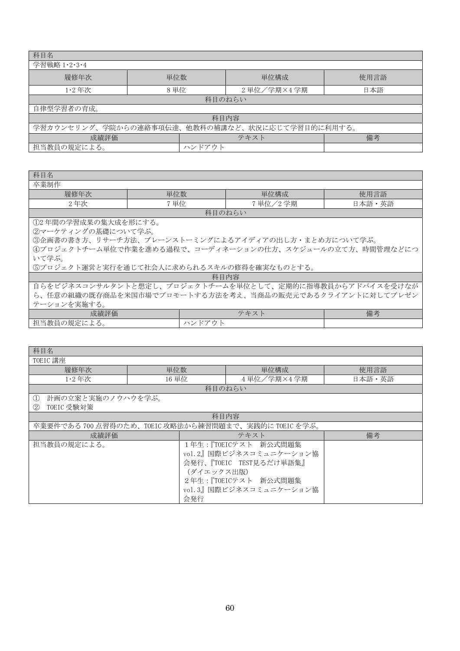| 科目名                                             |      |        |              |      |  |
|-------------------------------------------------|------|--------|--------------|------|--|
| 学習戦略 1·2·3·4                                    |      |        |              |      |  |
| 履修年次                                            | 単位数  |        | 単位構成         | 使用言語 |  |
| $1.2$ 年次                                        | 8 単位 |        | 2 単位/学期×4 学期 | 日本語  |  |
|                                                 |      |        | 科目のねらい       |      |  |
| 自律型学習者の育成。                                      |      |        |              |      |  |
| 科目内容                                            |      |        |              |      |  |
| 学習カウンセリング、学院からの連絡事項伝達、他教科の補講など、状況に応じて学習目的に利用する。 |      |        |              |      |  |
| 備考<br>成績評価<br>テキスト                              |      |        |              |      |  |
| 担当教員の規定による。                                     |      | ハンドアウト |              |      |  |

| 科目名                                                     |        |           |        |  |  |  |
|---------------------------------------------------------|--------|-----------|--------|--|--|--|
| 卒業制作                                                    |        |           |        |  |  |  |
| 履修年次                                                    | 単位数    | 単位構成      | 使用言語   |  |  |  |
| 2年次                                                     | 7 単位   | 7 単位/2 学期 | 日本語・英語 |  |  |  |
|                                                         | 科目のねらい |           |        |  |  |  |
| ①2年間の学習成果の集大成を形にする。                                     |        |           |        |  |  |  |
| ②マーケティングの基礎について学ぶ。                                      |        |           |        |  |  |  |
| ③企画書の書き方、リサーチ方法、ブレーンストーミングによるアイディアの出し方・まとめ方について学ぶ。      |        |           |        |  |  |  |
| 4プロジェクトチーム単位で作業を進める過程で、コーディネーションの仕方、スケジュールの立て方、時間管理などにつ |        |           |        |  |  |  |
| いて学ぶ。                                                   |        |           |        |  |  |  |
| 5プロジェクト運営と実行を通じて社会人に求められるスキルの修得を確実なものとする。               |        |           |        |  |  |  |
|                                                         | 科目内容   |           |        |  |  |  |
| 自らをビジネスコンサルタントと想定し、プロジェクトチームを単位として、定期的に指導教員からアドバイスを受けなが |        |           |        |  |  |  |

ら、任意の組織の既存商品を米国市場でプロモートする方法を考え、当商品の販売元であるクライアントに対してプレゼン テーションを実施する。

| 成績評価                                                                                | $\overline{\phantom{0}}$<br>$\rightarrow$<br>ニャ<br>$\tilde{\phantom{a}}$ | 備考 |
|-------------------------------------------------------------------------------------|--------------------------------------------------------------------------|----|
| $\cdots$<br>$\rightarrow$<br>担当教員<br><u>__</u><br>-<br>. .<br> 規定 <br>. 1 — — — 200 | ـد حــو                                                                  |    |

| 科目名                                             |            |                                                 |        |  |
|-------------------------------------------------|------------|-------------------------------------------------|--------|--|
| TOEIC 講座                                        |            |                                                 |        |  |
| 履修年次                                            | 単位数        | 単位構成                                            | 使用言語   |  |
| $1.2$ 年次                                        | 16 単位      | 4 単位/学期×4 学期                                    | 日本語・英語 |  |
|                                                 |            | 科目のねらい                                          |        |  |
| 計画の立案と実施のノウハウを学ぶ。<br>$\left( \mathrm{L}\right)$ |            |                                                 |        |  |
| TOEIC 受験対策<br>(2)                               |            |                                                 |        |  |
|                                                 |            | 科目内容                                            |        |  |
|                                                 |            | 卒業要件である700点習得のため、TOEIC攻略法から練習問題まで、実践的にTOEICを学ぶ。 |        |  |
| 成績評価                                            | 備考<br>テキスト |                                                 |        |  |
| 担当教員の規定による。                                     |            | 1年生:『TOEICテスト 新公式問題集                            |        |  |
|                                                 |            | vol. 2』国際ビジネスコミュニケーション協                         |        |  |
| 会発行、『TOEIC TEST見るだけ単語集』                         |            |                                                 |        |  |
| (ダイエックス出版)                                      |            |                                                 |        |  |
| 2年生:『TOEICテスト 新公式問題集                            |            |                                                 |        |  |
|                                                 |            | vol.3』国際ビジネスコミュニケーション協                          |        |  |
|                                                 | 会発行        |                                                 |        |  |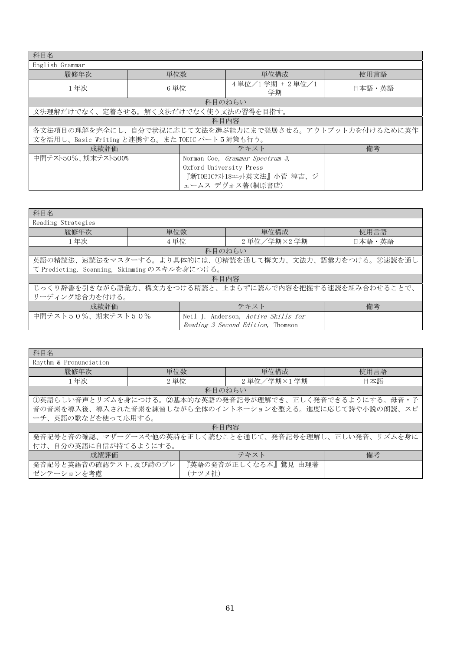| 科目名                                                   |                                       |                                                         |        |  |  |
|-------------------------------------------------------|---------------------------------------|---------------------------------------------------------|--------|--|--|
| English Grammar                                       |                                       |                                                         |        |  |  |
| 履修年次                                                  | 単位数                                   | 単位構成                                                    | 使用言語   |  |  |
| 1年次                                                   | 6 単位                                  | $4$ 単位 $/1$ 学期 + 2 単位 $/1$<br>学期                        | 日本語・英語 |  |  |
|                                                       |                                       | 科目のねらい                                                  |        |  |  |
|                                                       | 文法理解だけでなく、定着させる。解く文法だけでなく使う文法の習得を目指す。 |                                                         |        |  |  |
|                                                       |                                       | 科目内容                                                    |        |  |  |
|                                                       |                                       | 各文法項目の理解を完全にし、自分で状況に応じて文法を選ぶ能力にまで発展させる。アウトプット力を付けるために英作 |        |  |  |
| 文を活用し、Basic Writing と連携する。また TOEIC パート5対策も行う。         |                                       |                                                         |        |  |  |
| 成績評価                                                  |                                       | テキスト                                                    | 備考     |  |  |
| 中間テスト50%、期末テスト500%<br>Norman Coe, Grammar Spectrum 3, |                                       |                                                         |        |  |  |
|                                                       | Oxford University Press               |                                                         |        |  |  |
|                                                       |                                       | 『新TOEICテスト18エット英文法』小菅淳吉、ジ                               |        |  |  |
|                                                       |                                       | ェームス デヴォス著(桐原書店)                                        |        |  |  |

| 科目名                                                     |      |                                     |  |                                                         |
|---------------------------------------------------------|------|-------------------------------------|--|---------------------------------------------------------|
| Reading Strategies                                      |      |                                     |  |                                                         |
| 履修年次                                                    | 単位数  | 単位構成                                |  | 使用言語                                                    |
| 1年次                                                     | 4 単位 | 2 単位/学期×2 学期                        |  | 日本語・英語                                                  |
|                                                         |      | 科目のねらい                              |  |                                                         |
|                                                         |      |                                     |  | 英語の精読法、速読法をマスターする。より具体的には、1精読を通して構文力、文法力、語彙力をつける。2速読を通し |
| て Predicting, Scanning, Skimming のスキルを身につける。            |      |                                     |  |                                                         |
| 科目内容                                                    |      |                                     |  |                                                         |
| じっくり辞書を引きながら語彙力、構文力をつける精読と、止まらずに読んで内容を把握する速読を組み合わせることで、 |      |                                     |  |                                                         |
| リーディング総合力を付ける。                                          |      |                                     |  |                                                         |
| 備考<br>成績評価<br>テキスト                                      |      |                                     |  |                                                         |
| 中間テスト50%、期末テスト50%                                       |      | Neil J. Anderson, Active Skills for |  |                                                         |
|                                                         |      | Reading 3 Second Edition. Thomson   |  |                                                         |

| 科目名                                                     |                    |                                                         |      |  |  |  |
|---------------------------------------------------------|--------------------|---------------------------------------------------------|------|--|--|--|
| Rhythm & Pronunciation                                  |                    |                                                         |      |  |  |  |
| 履修年次                                                    | 単位数                | 単位構成                                                    | 使用言語 |  |  |  |
| 1年次                                                     | 2 単位               | 2 単位/学期×1 学期                                            | 日本語  |  |  |  |
|                                                         |                    | 科目のねらい                                                  |      |  |  |  |
|                                                         |                    | 1英語らしい音声とリズムを身につける。2基本的な英語の発音記号が理解でき、正しく発音できるようにする。母音·子 |      |  |  |  |
|                                                         |                    | 音の音素を導入後、導入された音素を練習しながら全体のイントネーションを整える。進度に応じて詩や小説の朗読、スピ |      |  |  |  |
|                                                         | ーチ、英語の歌などを使って応用する。 |                                                         |      |  |  |  |
| 科目内容                                                    |                    |                                                         |      |  |  |  |
| 発音記号と音の確認、マザーグースや他の英詩を正しく読むことを通じて、発音記号を理解し、正しい発音、リズムを身に |                    |                                                         |      |  |  |  |
| 付け、自分の英語に自信が持てるようにする。                                   |                    |                                                         |      |  |  |  |
| 成績評価                                                    |                    | テキスト                                                    | 備考   |  |  |  |
| 発音記号と英語音の確認テスト、及び詩のプレ                                   |                    | 『英語の発音が正しくなる本』鷲見 由理著                                    |      |  |  |  |
| ゼンテーションを考慮                                              | (ナツメ社)             |                                                         |      |  |  |  |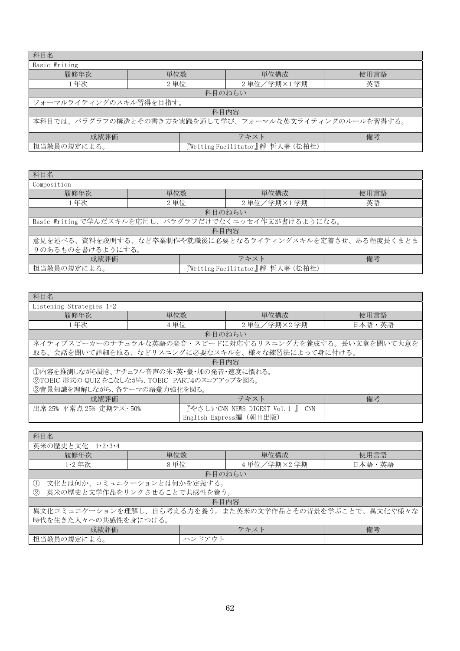| 科目名                                                    |      |                                  |      |  |  |
|--------------------------------------------------------|------|----------------------------------|------|--|--|
| Basic Writing                                          |      |                                  |      |  |  |
| 履修年次                                                   | 単位数  | 単位構成                             | 使用言語 |  |  |
| 1年次                                                    | 2 単位 | 2 単位/学期×1学期                      | 英語   |  |  |
| 科目のねらい                                                 |      |                                  |      |  |  |
| フォーマルライティングのスキル習得を目指す。                                 |      |                                  |      |  |  |
| 科目内容                                                   |      |                                  |      |  |  |
| 本科目では、パラグラフの構造とその書き方を実践を通して学び、フォーマルな英文ライティングのルールを習得する。 |      |                                  |      |  |  |
|                                                        |      |                                  |      |  |  |
| 成績評価                                                   |      | テキスト                             | 備考   |  |  |
| 担当教員の規定による。                                            |      | 『Writing Facilitator』靜 哲人著 (松柏社) |      |  |  |

| 科目名                                                     |      |                                 |      |              |
|---------------------------------------------------------|------|---------------------------------|------|--------------|
| Composition                                             |      |                                 |      |              |
| 履修年次                                                    | 単位数  | 単位構成                            | 使用言語 |              |
| 1年次                                                     | 2 単位 |                                 | 英語   | 2 単位/学期×1 学期 |
| 科目のねらい                                                  |      |                                 |      |              |
| Basic Writing で学んだスキルを応用し、パラグラフだけでなくエッセイ作文が書けるようになる。    |      |                                 |      |              |
| 科目内容                                                    |      |                                 |      |              |
| 意見を述べる、資料を説明する、など卒業制作や就職後に必要となるライティングスキルを定着させ、ある程度長くまとま |      |                                 |      |              |
| りのあるものを書けるようにする。                                        |      |                                 |      |              |
| 成績評価                                                    |      | テキスト                            | 備考   |              |
| 担当教員の規定による。                                             |      | 『Writing Facilitator』靜哲人著 (松柏社) |      |              |

| 科目名                                                     |      |                                            |        |
|---------------------------------------------------------|------|--------------------------------------------|--------|
| Listening Strategies $1.2$                              |      |                                            |        |
| 履修年次                                                    | 単位数  | 単位構成                                       | 使用言語   |
| 1年次                                                     | 4 単位 | 2 単位/学期×2 学期                               | 日本語・英語 |
| 科目のねらい                                                  |      |                                            |        |
| ネイティブスピーカーのナチュラルな英語の発音・スピードに対応するリスニング力を養成する。長い文章を聞いて大意を |      |                                            |        |
| 取る、会話を聞いて詳細を取る、などリスニングに必要なスキルを、様々な練習法によって身に付ける。         |      |                                            |        |
| 科目内容                                                    |      |                                            |        |
| 1内容を推測しながら聞き、ナチュラル音声の米・英・豪・加の発音・速度に慣れる。                 |      |                                            |        |
| ②TOEIC 形式の QUIZ をこなしながら、TOEIC PART4のスコアアップを図る。          |      |                                            |        |
| 3背景知識を理解しながら、各テーマの語彙力強化を図る。                             |      |                                            |        |
| 成績評価                                                    |      | テキスト                                       | 備考     |
| 出席 25% 平常点 25% 定期テスト 50%                                |      | 『やさしいCNN NEWS DIGEST Vol.1 』<br><b>CNN</b> |        |
|                                                         |      | English Express編 (朝日出版)                    |        |

| 科目名                                                     |        |              |        |
|---------------------------------------------------------|--------|--------------|--------|
| 英米の歴史と文化 1・2・3・4                                        |        |              |        |
| 履修年次                                                    | 単位数    | 単位構成         | 使用言語   |
| $1.2$ 年次                                                | 8 単位   | 4 単位/学期×2 学期 | 日本語・英語 |
| 科目のねらい                                                  |        |              |        |
| 文化とは何か、コミュニケーションとは何かを定義する。<br>$\rm (1)$                 |        |              |        |
| 英米の歴史と文学作品をリンクさせることで共感性を養う。<br>2                        |        |              |        |
| 科目内容                                                    |        |              |        |
| 異文化コミュニケーションを理解し、自ら考える力を養う。また英米の文学作品とその背景を学ぶことで、異文化や様々な |        |              |        |
| 時代を生きた人々への共感性を身につける。                                    |        |              |        |
| 成績評価                                                    |        | テキスト         | 備考     |
| 担当教員の規定による。                                             | ハンドアウト |              |        |